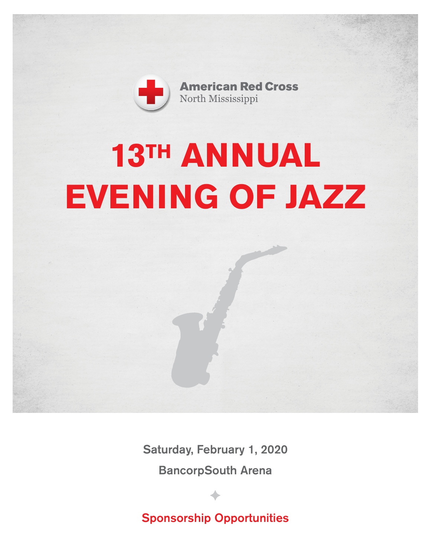

**American Red Cross** North Mississippi

# **13TH ANNUAL EVENING OF JAZZ**

Saturday, February 1, 2020 BancorpSouth Arena

Sponsorship Opportunities

 $\blacklozenge$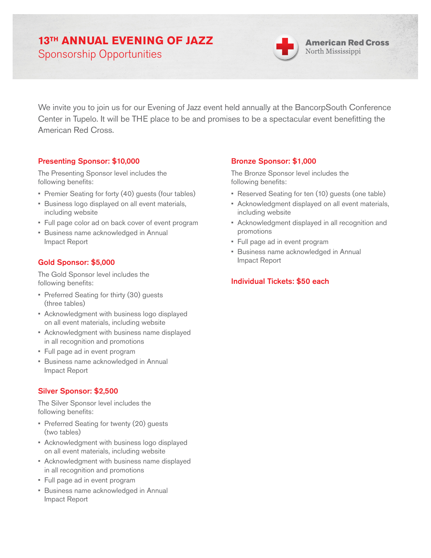# **13TH ANNUAL EVENING OF JAZZ**

Sponsorship Opportunities



We invite you to join us for our Evening of Jazz event held annually at the BancorpSouth Conference Center in Tupelo. It will be THE place to be and promises to be a spectacular event benefitting the American Red Cross.

#### Presenting Sponsor: \$10,000

The Presenting Sponsor level includes the following benefits:

- Premier Seating for forty (40) guests (four tables)
- Business logo displayed on all event materials, including website
- Full page color ad on back cover of event program
- Business name acknowledged in Annual Impact Report

# Gold Sponsor: \$5,000

The Gold Sponsor level includes the following benefits:

- Preferred Seating for thirty (30) guests (three tables)
- Acknowledgment with business logo displayed on all event materials, including website
- Acknowledgment with business name displayed in all recognition and promotions
- Full page ad in event program
- Business name acknowledged in Annual Impact Report

# Silver Sponsor: \$2,500

The Silver Sponsor level includes the following benefits:

- Preferred Seating for twenty (20) guests (two tables)
- Acknowledgment with business logo displayed on all event materials, including website
- Acknowledgment with business name displayed in all recognition and promotions
- Full page ad in event program
- Business name acknowledged in Annual Impact Report

# Bronze Sponsor: \$1,000

The Bronze Sponsor level includes the following benefits:

- Reserved Seating for ten (10) guests (one table)
- Acknowledgment displayed on all event materials, including website
- Acknowledgment displayed in all recognition and promotions
- Full page ad in event program
- Business name acknowledged in Annual Impact Report

# Individual Tickets: \$50 each